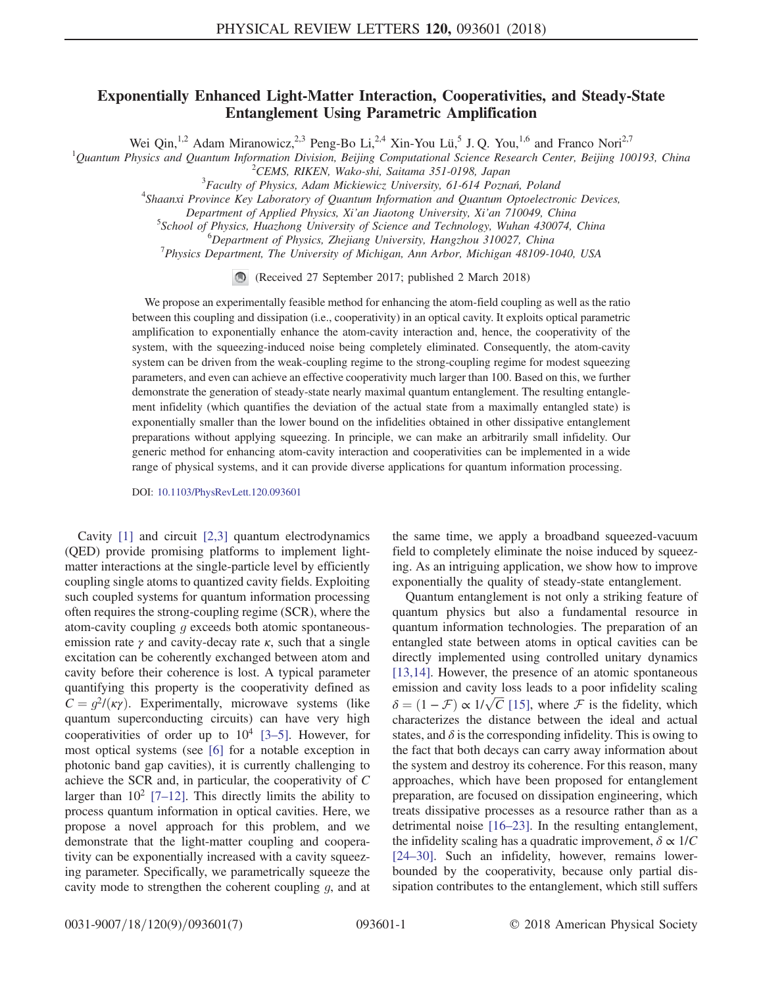## Exponentially Enhanced Light-Matter Interaction, Cooperativities, and Steady-State Entanglement Using Parametric Amplification

Wei Qin,<sup>1,2</sup> Adam Miranowicz,<sup>2,3</sup> Peng-Bo Li,<sup>2,4</sup> Xin-You Lü,<sup>5</sup> J. Q. You,<sup>1,6</sup> and Franco Nori<sup>2,7</sup>

<sup>1</sup>Quantum Physics and Quantum Information Division, Beijing Computational Science Research Center, Beijing 100193, China<br><sup>2</sup>CEMS BIKEN Wake shi Saitama 351.0108 Japan <sup>2</sup>CEMS, RIKEN, Wako-shi, Saitama 351-0198, Japan

 ${}^{3}$ Faculty of Physics, Adam Mickiewicz University, 61-614 Poznań, Poland

<sup>4</sup>Shaanxi Province Key Laboratory of Quantum Information and Quantum Optoelectronic Devices, Department of Applied Physics, Xi'an Jiaotong University, Xi'an 710049, China <sup>5</sup>

 $5$ School of Physics, Huazhong University of Science and Technology, Wuhan 430074, China

 ${}^{6}$ Department of Physics, Zhejiang University, Hangzhou 310027, China

 $^{7}$ Physics Department, The University of Michigan, Ann Arbor, Michigan 48109-1040, USA

(Received 27 September 2017; published 2 March 2018)

We propose an experimentally feasible method for enhancing the atom-field coupling as well as the ratio between this coupling and dissipation (i.e., cooperativity) in an optical cavity. It exploits optical parametric amplification to exponentially enhance the atom-cavity interaction and, hence, the cooperativity of the system, with the squeezing-induced noise being completely eliminated. Consequently, the atom-cavity system can be driven from the weak-coupling regime to the strong-coupling regime for modest squeezing parameters, and even can achieve an effective cooperativity much larger than 100. Based on this, we further demonstrate the generation of steady-state nearly maximal quantum entanglement. The resulting entanglement infidelity (which quantifies the deviation of the actual state from a maximally entangled state) is exponentially smaller than the lower bound on the infidelities obtained in other dissipative entanglement preparations without applying squeezing. In principle, we can make an arbitrarily small infidelity. Our generic method for enhancing atom-cavity interaction and cooperativities can be implemented in a wide range of physical systems, and it can provide diverse applications for quantum information processing.

DOI: [10.1103/PhysRevLett.120.093601](https://doi.org/10.1103/PhysRevLett.120.093601)

Cavity [\[1\]](#page-4-0) and circuit [\[2,3\]](#page-4-1) quantum electrodynamics (QED) provide promising platforms to implement lightmatter interactions at the single-particle level by efficiently coupling single atoms to quantized cavity fields. Exploiting such coupled systems for quantum information processing often requires the strong-coupling regime (SCR), where the atom-cavity coupling g exceeds both atomic spontaneousemission rate  $\gamma$  and cavity-decay rate  $\kappa$ , such that a single excitation can be coherently exchanged between atom and cavity before their coherence is lost. A typical parameter quantifying this property is the cooperativity defined as  $C = q^2/(k\gamma)$ . Experimentally, microwave systems (like quantum superconducting circuits) can have very high cooperativities of order up to  $10^4$  [3–[5\].](#page-4-2) However, for most optical systems (see [\[6\]](#page-4-3) for a notable exception in photonic band gap cavities), it is currently challenging to achieve the SCR and, in particular, the cooperativity of C larger than  $10^2$  [7–[12\].](#page-4-4) This directly limits the ability to process quantum information in optical cavities. Here, we propose a novel approach for this problem, and we demonstrate that the light-matter coupling and cooperativity can be exponentially increased with a cavity squeezing parameter. Specifically, we parametrically squeeze the cavity mode to strengthen the coherent coupling g, and at

the same time, we apply a broadband squeezed-vacuum field to completely eliminate the noise induced by squeezing. As an intriguing application, we show how to improve exponentially the quality of steady-state entanglement.

Quantum entanglement is not only a striking feature of quantum physics but also a fundamental resource in quantum information technologies. The preparation of an entangled state between atoms in optical cavities can be directly implemented using controlled unitary dynamics [\[13,14\]](#page-4-5). However, the presence of an atomic spontaneous emission and cavity loss leads to a poor infidelity scaling  $\delta = (1 - \mathcal{F}) \propto 1/\sqrt{C}$  [\[15\]](#page-4-6), where  $\mathcal F$  is the fidelity, which characterizes the distance between the ideal and actual C characterizes the distance between the ideal and actual states, and  $\delta$  is the corresponding infidelity. This is owing to the fact that both decays can carry away information about the system and destroy its coherence. For this reason, many approaches, which have been proposed for entanglement preparation, are focused on dissipation engineering, which treats dissipative processes as a resource rather than as a detrimental noise [\[16](#page-4-7)–23]. In the resulting entanglement, the infidelity scaling has a quadratic improvement,  $\delta \propto 1/C$ [\[24](#page-5-0)–30]. Such an infidelity, however, remains lowerbounded by the cooperativity, because only partial dissipation contributes to the entanglement, which still suffers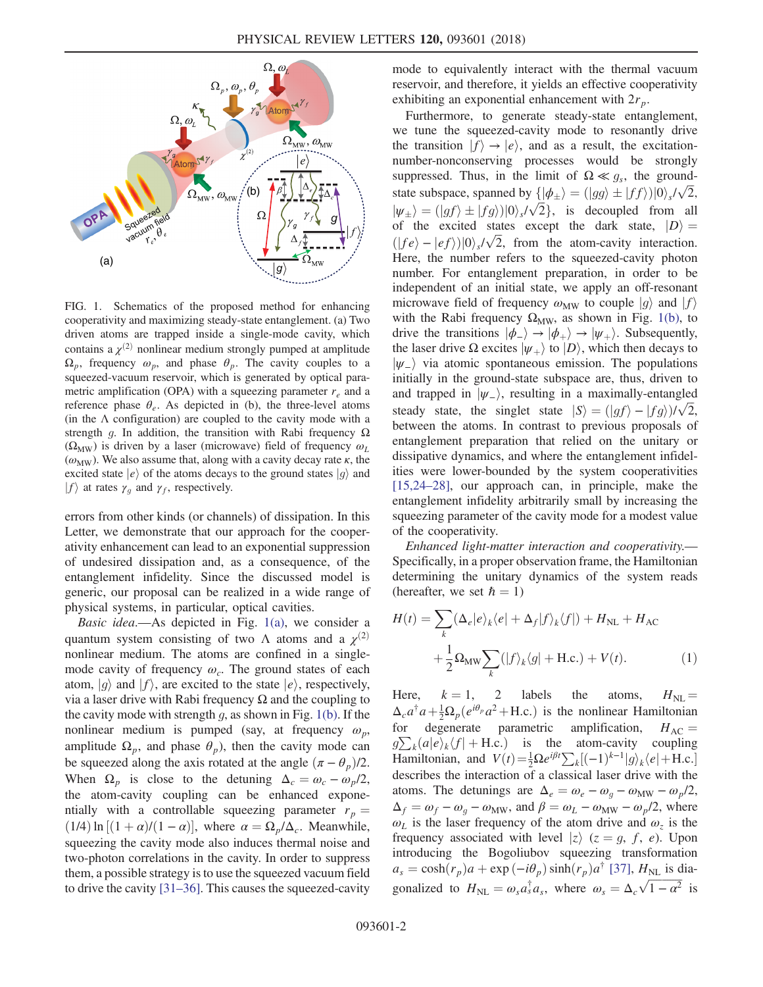<span id="page-1-0"></span>

FIG. 1. Schematics of the proposed method for enhancing cooperativity and maximizing steady-state entanglement. (a) Two driven atoms are trapped inside a single-mode cavity, which contains a  $\chi^{(2)}$  nonlinear medium strongly pumped at amplitude  $\Omega_p$ , frequency  $\omega_p$ , and phase  $\theta_p$ . The cavity couples to a squeezed-vacuum reservoir, which is generated by optical parametric amplification (OPA) with a squeezing parameter  $r_e$  and a reference phase  $\theta_e$ . As depicted in (b), the three-level atoms (in the  $\Lambda$  configuration) are coupled to the cavity mode with a strength g. In addition, the transition with Rabi frequency  $\Omega$  $(\Omega_{\text{MW}})$  is driven by a laser (microwave) field of frequency  $\omega_L$  $(\omega_{\text{MW}})$ . We also assume that, along with a cavity decay rate  $\kappa$ , the excited state  $|e\rangle$  of the atoms decays to the ground states  $|g\rangle$  and  $|f\rangle$  at rates  $\gamma_q$  and  $\gamma_f$ , respectively.

errors from other kinds (or channels) of dissipation. In this Letter, we demonstrate that our approach for the cooperativity enhancement can lead to an exponential suppression of undesired dissipation and, as a consequence, of the entanglement infidelity. Since the discussed model is generic, our proposal can be realized in a wide range of physical systems, in particular, optical cavities.

Basic idea.—As depicted in Fig. [1\(a\)](#page-1-0), we consider a quantum system consisting of two Λ atoms and a  $\chi^{(2)}$ nonlinear medium. The atoms are confined in a singlemode cavity of frequency  $\omega_c$ . The ground states of each atom,  $|g\rangle$  and  $|f\rangle$ , are excited to the state  $|e\rangle$ , respectively, via a laser drive with Rabi frequency Ω and the coupling to the cavity mode with strength  $q$ , as shown in Fig. [1\(b\).](#page-1-0) If the nonlinear medium is pumped (say, at frequency  $\omega_p$ , amplitude  $\Omega_p$ , and phase  $\theta_p$ ), then the cavity mode can be squeezed along the axis rotated at the angle  $(\pi - \theta_p)/2$ . When  $\Omega_p$  is close to the detuning  $\Delta_c = \omega_c - \omega_p/2$ , the atom-cavity coupling can be enhanced exponentially with a controllable squeezing parameter  $r_p =$  $(1/4) \ln [(1 + \alpha)/(1 - \alpha)]$ , where  $\alpha = \Omega_p / \Delta_c$ . Meanwhile, squeezing the cavity mode also induces thermal noise and two-photon correlations in the cavity. In order to suppress them, a possible strategy is to use the squeezed vacuum field to drive the cavity [31–[36\].](#page-5-1) This causes the squeezed-cavity mode to equivalently interact with the thermal vacuum reservoir, and therefore, it yields an effective cooperativity exhibiting an exponential enhancement with  $2r_p$ .

Furthermore, to generate steady-state entanglement, we tune the squeezed-cavity mode to resonantly drive the transition  $|f\rangle \rightarrow |e\rangle$ , and as a result, the excitationnumber-nonconserving processes would be strongly suppressed. Thus, in the limit of  $\Omega \ll g_s$ , the groundstate subspace, spanned by  $\{|\phi_{\pm}\rangle = (|gg\rangle \pm |ff\rangle)|0\rangle_s/\sqrt{2}$ ,<br>ly  $\lambda = (|gf\rangle + |fg\rangle)|0\rangle_s/\sqrt{2}$ , is decounded from all  $|\psi_{\pm}\rangle = (|gf\rangle \pm |fg\rangle)|0\rangle_s/\sqrt{2}$ , is decoupled from all<br>of the excited states except the dark state  $|D\rangle$ of the excited states except the dark state,  $|D\rangle =$  $(|fe\rangle - |ef\rangle)|0\rangle_s/\sqrt{2}$ , from the atom-cavity interaction.<br>Here the number refers to the squeezed-cavity photon Here, the number refers to the squeezed-cavity photon number. For entanglement preparation, in order to be independent of an initial state, we apply an off-resonant microwave field of frequency  $\omega_{\text{MW}}$  to couple  $|g\rangle$  and  $|f\rangle$ with the Rabi frequency  $\Omega_{\text{MW}}$ , as shown in Fig. [1\(b\)](#page-1-0), to drive the transitions  $|\phi_{-}\rangle \rightarrow |\phi_{+}\rangle \rightarrow |\psi_{+}\rangle$ . Subsequently, the laser drive  $\Omega$  excites  $|\psi_+\rangle$  to  $|D\rangle$ , which then decays to  $|\psi_-\rangle$  via atomic spontaneous emission. The populations initially in the ground-state subspace are, thus, driven to and trapped in  $|\psi_-\rangle$ , resulting in a maximally-entangled steady state, the singlet state  $|S\rangle = (|gf\rangle - |fg\rangle)/\sqrt{2}$ ,<br>between the atoms In contrast to previous proposals of between the atoms. In contrast to previous proposals of entanglement preparation that relied on the unitary or dissipative dynamics, and where the entanglement infidelities were lower-bounded by the system cooperativities [\[15,24](#page-4-6)–28], our approach can, in principle, make the entanglement infidelity arbitrarily small by increasing the squeezing parameter of the cavity mode for a modest value of the cooperativity.

Enhanced light-matter interaction and cooperativity.— Specifically, in a proper observation frame, the Hamiltonian determining the unitary dynamics of the system reads (hereafter, we set  $\hbar = 1$ )

$$
H(t) = \sum_{k} (\Delta_e |e\rangle_k \langle e| + \Delta_f |f\rangle_k \langle f|) + H_{\text{NL}} + H_{\text{AC}}
$$

$$
+ \frac{1}{2} \Omega_{\text{MW}} \sum_{k} (|f\rangle_k \langle g| + \text{H.c.}) + V(t). \tag{1}
$$

Here,  $k = 1$ , 2 labels the atoms,  $H_{\text{NL}} = \Delta a^{\dagger} a + \frac{1}{2} Q (a^{i\theta} a^2 + H c)$  is the nonlinear Hamiltonian  $\Delta_c a^{\dagger} a + \frac{1}{2} \Omega_p (e^{i\theta_p} a^2 + \text{H.c.})$  is the nonlinear Hamiltonian for degenerate parametric amplification,  $H_{AC}$ Hamiltonian, and  $V(t) = \frac{1}{2} \Omega e^{i\beta t} \sum_{k} [(-1)^{k-1} |g\rangle_{k} \langle e| + \text{H.c.}]$  $\sum_k (a|e\rangle_k \langle f| + \text{H.c.})$  is the atom-cavity coupling<br>Ignificantly and  $V(t) = \frac{1}{2} \Omega e^{i\beta t} \sum_{k=1}^{\infty} [(-1)^{k-1} |\phi\rangle_{k=1}^{\infty}]$ describes the interaction of a classical laser drive with the atoms. The detunings are  $\Delta_e = \omega_e - \omega_a - \omega_{\text{MW}} - \omega_p/2$ ,  $\Delta_f = \omega_f - \omega_q - \omega_{\text{MW}}$ , and  $\beta = \omega_L - \omega_{\text{MW}} - \omega_p/2$ , where  $\omega_L$  is the laser frequency of the atom drive and  $\omega_z$  is the frequency associated with layel  $|z\rangle$  ( $z = a, f, g$ ). Upon frequency associated with level  $|z\rangle$  ( $z = g, f, e$ ). Upon introducing the Bogoliubov squeezing transformation  $a_s = \cosh(r_p)a + \exp(-i\theta_p)\sinh(r_p)a^{\dagger}$  [\[37\]](#page-5-2),  $H_{NL}$  is diagonalized to  $H_{\text{NL}} = \omega_s a_s^{\dagger} a_s$ , where  $\omega_s = \Delta_c \sqrt{1 - \alpha^2}$  is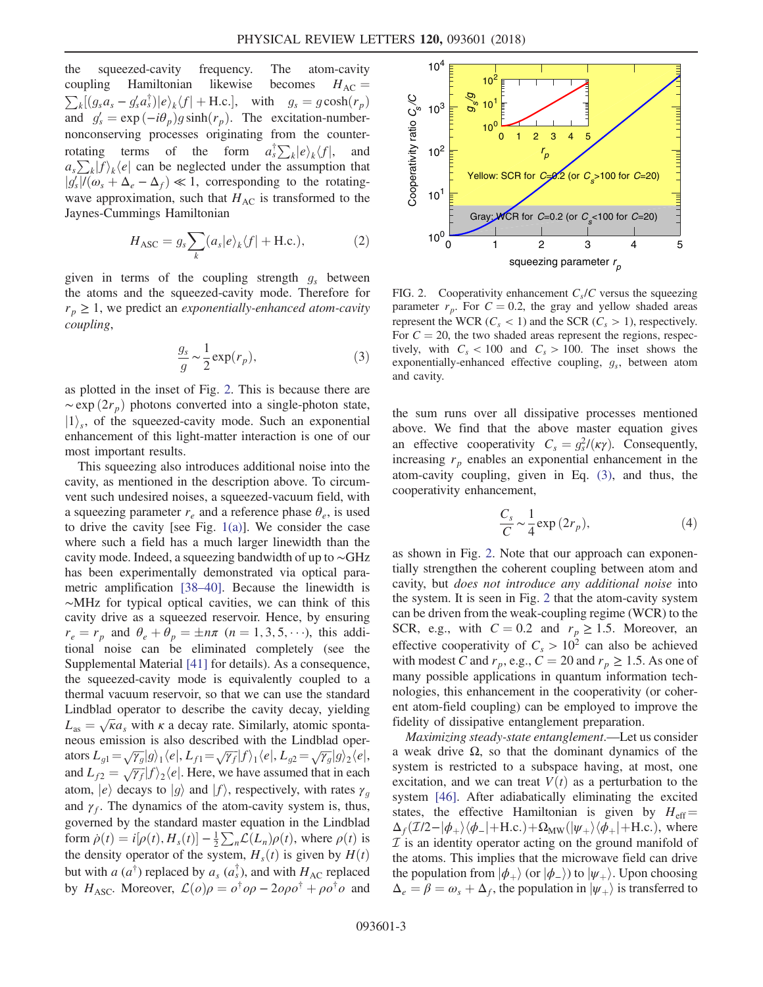the squeezed-cavity frequency. The atom-cavity coupling Hamiltonian likewise becomes  $H_{AC} = \sum_k [(g_s a_s - g'_s a_s^{\dagger})]e_k \langle f| + H.c.]$ , with  $g_s = g \cosh(r_p)$  $k[(g_s a_s - g'_s a_s^{\dagger})|e\rangle_k\langle f| + \text{H.c.}],$  with  $g_s = g \cosh(r_p)$ <br>d  $d = \exp(-i\theta) g \sinh(r)$ . The excitation number and  $g'_s = \exp(-i\theta_p)g\sinh(r_p)$ . The excitation-number-<br>popconserving processes originating from the counternonconserving processes originating from the counterrotating terms of the form  $a_s^{\dagger} \sum_k |e\rangle_k \langle f|$ , and  $a_s^{\dagger} \sum_k |e\rangle_k \langle f|$ , and  $\sum_{k} |f\rangle_{k} \langle e|$  can be neglected under the assumption that  $|f|/\langle e| + \Delta - \Delta_{\alpha}| \ll 1$  corresponding to the rotating- $|g'_s|/(\omega_s + \Delta_e - \Delta_f) \ll 1$ , corresponding to the rotating-<br>wave approximation, such that H is transformed to the  $\frac{|g_s|}{\sum_{i=1}^{n}}$ wave approximation, such that  $H_{AC}$  is transformed to the Iavnes-Cummings Hamiltonian Jaynes-Cummings Hamiltonian

$$
H_{\text{ASC}} = g_s \sum_{k} (a_s |e\rangle_k \langle f| + \text{H.c.}), \tag{2}
$$

<span id="page-2-1"></span>given in terms of the coupling strength  $g_s$  between the atoms and the squeezed-cavity mode. Therefore for  $r_p \geq 1$ , we predict an *exponentially-enhanced atom-cavity* coupling,

$$
\frac{g_s}{g} \sim \frac{1}{2} \exp(r_p),\tag{3}
$$

as plotted in the inset of Fig. [2](#page-2-0). This is because there are  $\sim$ exp  $(2r_p)$  photons converted into a single-photon state,  $|1\rangle_s$ , of the squeezed-cavity mode. Such an exponential enhancement of this light-matter interaction is one of our most important results.

This squeezing also introduces additional noise into the cavity, as mentioned in the description above. To circumvent such undesired noises, a squeezed-vacuum field, with a squeezing parameter  $r_e$  and a reference phase  $\theta_e$ , is used to drive the cavity [see Fig.  $1(a)$ ]. We consider the case where such a field has a much larger linewidth than the cavity mode. Indeed, a squeezing bandwidth of up to ∼GHz has been experimentally demonstrated via optical parametric amplification [\[38](#page-5-3)–40]. Because the linewidth is ∼MHz for typical optical cavities, we can think of this cavity drive as a squeezed reservoir. Hence, by ensuring  $r_e = r_p$  and  $\theta_e + \theta_p = \pm n\pi$   $(n = 1, 3, 5, \cdots)$ , this additional noise can be eliminated completely (see the Supplemental Material [\[41\]](#page-5-4) for details). As a consequence, the squeezed-cavity mode is equivalently coupled to a thermal vacuum reservoir, so that we can use the standard Lindblad operator to describe the cavity decay, yielding  $L_{\text{as}} = \sqrt{\kappa} a_s$  with  $\kappa$  a decay rate. Similarly, atomic sponta-<br>neous emission is also described with the Lindblad operneous emission is also described with the Lindblad operators  $L_{g1} = \sqrt{\gamma_g} |g\rangle_1 \langle e|, L_{f1} = \sqrt{\gamma_f} |f\rangle_1 \langle e|, L_{g2} = \sqrt{\gamma_g} |g\rangle_2 \langle e|,$ and  $L_{f2} = \sqrt{\gamma_f} |f\rangle_2 \langle e|$ . Here, we have assumed that in each atom,  $|e\rangle$  decays to  $|g\rangle$  and  $|f\rangle$ , respectively, with rates  $\gamma_g$ <br>and  $\gamma_g$ . The dynamics of the atom-cavity system is thus and  $\gamma_f$ . The dynamics of the atom-cavity system is, thus, governed by the standard master equation in the Lindblad form  $\dot{\rho}(t) = i[\rho(t), H_s(t)] - \frac{1}{2} \sum_n \mathcal{L}(L_n)\rho(t)$ , where  $\rho(t)$  is<br>the density operator of the system  $H_s(t)$  is given by  $H(t)$ the density operator of the system,  $H_s(t)$  is given by  $H(t)$ but with a  $(a^{\dagger})$  replaced by  $a_s$   $(a_s^{\dagger})$ , and with  $H_{AC}$  replaced<br>by  $H_{ABC}$  Moreover,  $C(a)a = a^{\dagger}a^{\dagger} - 2aa^{\dagger} + aa^{\dagger}a$  and by  $H_{\text{ASC}}$ . Moreover,  $\mathcal{L}(o)\rho = o^{\dagger}o\rho - 2o\rho o^{\dagger} + \rho o^{\dagger}o$  and

<span id="page-2-0"></span>

FIG. 2. Cooperativity enhancement  $C_s/C$  versus the squeezing parameter  $r_p$ . For  $C = 0.2$ , the gray and yellow shaded areas represent the WCR ( $C_s$  < 1) and the SCR ( $C_s$  > 1), respectively. For  $C = 20$ , the two shaded areas represent the regions, respectively, with  $C_s < 100$  and  $C_s > 100$ . The inset shows the exponentially-enhanced effective coupling,  $g_s$ , between atom and cavity.

the sum runs over all dissipative processes mentioned above. We find that the above master equation gives an effective cooperativity  $C_s = g_s^2/(k\gamma)$ . Consequently,<br>increasing r enables an exponential enhancement in the increasing  $r_p$  enables an exponential enhancement in the atom-cavity coupling, given in Eq. [\(3\)](#page-2-1), and thus, the cooperativity enhancement,

$$
\frac{C_s}{C} \sim \frac{1}{4} \exp(2r_p),\tag{4}
$$

as shown in Fig. [2.](#page-2-0) Note that our approach can exponentially strengthen the coherent coupling between atom and cavity, but does not introduce any additional noise into the system. It is seen in Fig. [2](#page-2-0) that the atom-cavity system can be driven from the weak-coupling regime (WCR) to the SCR, e.g., with  $C = 0.2$  and  $r_p \ge 1.5$ . Moreover, an effective cooperativity of  $C_s > 10^2$  can also be achieved with modest C and  $r_p$ , e.g.,  $C = 20$  and  $r_p \ge 1.5$ . As one of many possible applications in quantum information technologies, this enhancement in the cooperativity (or coherent atom-field coupling) can be employed to improve the fidelity of dissipative entanglement preparation.

Maximizing steady-state entanglement.—Let us consider a weak drive Ω, so that the dominant dynamics of the system is restricted to a subspace having, at most, one excitation, and we can treat  $V(t)$  as a perturbation to the system [\[46\]](#page-5-5). After adiabatically eliminating the excited states, the effective Hamiltonian is given by  $H_{\text{eff}} =$  $\Delta_f(\mathcal{I}/2-|\phi_+\rangle\langle\phi_-|+\text{H.c.})+\Omega_{\text{MW}}(|\psi_+\rangle\langle\phi_+|+\text{H.c.})$ , where  $I$  is an identity operator acting on the ground manifold of the atoms. This implies that the microwave field can drive the population from  $|\phi_{+}\rangle$  (or  $|\phi_{-}\rangle$ ) to  $|\psi_{+}\rangle$ . Upon choosing  $\Delta_e = \beta = \omega_s + \Delta_f$ , the population in  $|\psi_+\rangle$  is transferred to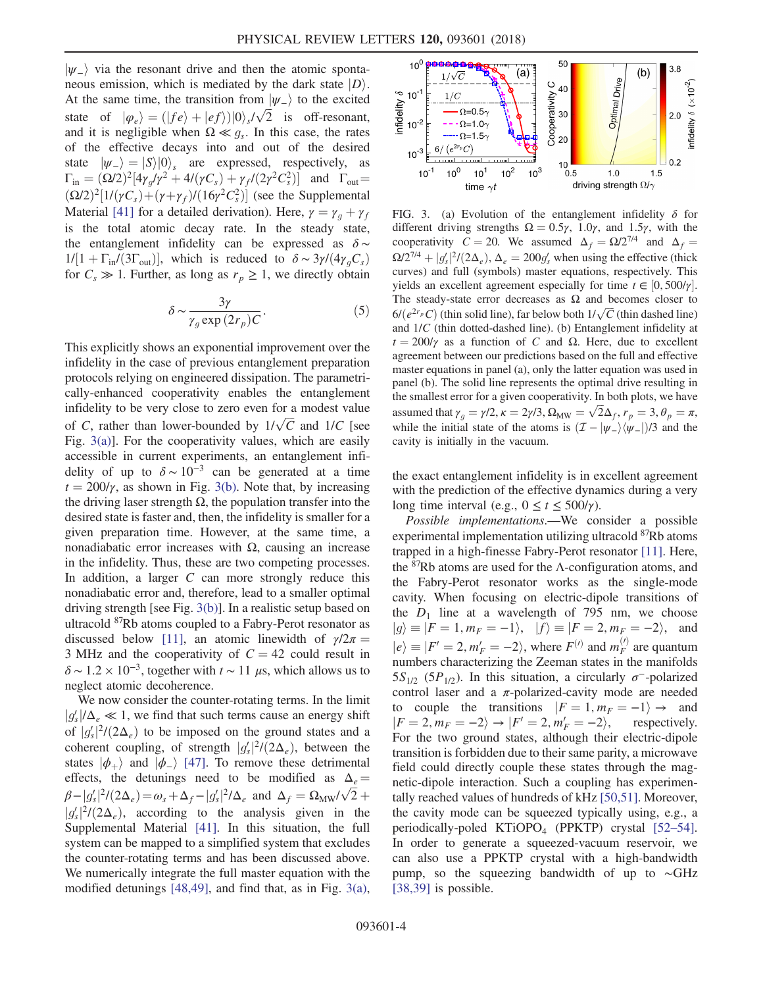$|\psi_{-}\rangle$  via the resonant drive and then the atomic spontaneous emission, which is mediated by the dark state  $|D\rangle$ . At the same time, the transition from  $|\psi_{-}\rangle$  to the excited state of  $|\varphi_e\rangle = (|fe\rangle + |ef\rangle)|0\rangle_s/\sqrt{2}$  is off-resonant,<br>and it is negligible when  $\Omega \ll a$ . In this case, the rates and it is negligible when  $\Omega \ll g_s$ . In this case, the rates of the effective decays into and out of the desired state  $|\psi_{-}\rangle = |S\rangle|0\rangle_s$  are expressed, respectively, as  $\Gamma_{\rm in} = (\Omega/2)^2 [4\gamma_g/\gamma^2 + 4/(\gamma C_s) + \gamma_f/(2\gamma^2 C_s^2)]$  and  $\Gamma_{\rm out} =$ <br>( $\Omega/2$ )<sup>2</sup>[1*U*(*iG*)  $\pm$  (*u*) *u*)*l*(16*x*<sup>2</sup>*G*<sup>2</sup>)] (see the Symplemental  $(2/2)^2[1/(\gamma C_s) + (\gamma + \gamma_f)/(16\gamma^2 C_s^2)]$  (see the Supplemental<br>Material [411 for a detailed derivation). Here  $\gamma = \gamma + \gamma_c$ Material [\[41\]](#page-5-4) for a detailed derivation). Here,  $\gamma = \gamma_g + \gamma_f$ is the total atomic decay rate. In the steady state, the entanglement infidelity can be expressed as  $\delta \sim$  $1/[1 + \Gamma_{\text{in}}/(3\Gamma_{\text{out}})]$ , which is reduced to  $\delta \sim 3\gamma/(4\gamma_g C_s)$ for  $C_s \gg 1$ . Further, as long as  $r_p \geq 1$ , we directly obtain

$$
\delta \sim \frac{3\gamma}{\gamma_g \exp\left(2r_p\right)C}.\tag{5}
$$

This explicitly shows an exponential improvement over the infidelity in the case of previous entanglement preparation protocols relying on engineered dissipation. The parametrically-enhanced cooperativity enables the entanglement infidelity to be very close to zero even for a modest value of C, rather than lower-bounded by  $1/\sqrt{C}$  and  $1/C$  [see<br>Fig. 3(a)]. For the cooperativity values, which are easily Fig. [3\(a\)](#page-3-0)]. For the cooperativity values, which are easily accessible in current experiments, an entanglement infidelity of up to  $\delta \sim 10^{-3}$  can be generated at a time  $t = 200/\gamma$ , as shown in Fig. [3\(b\).](#page-3-0) Note that, by increasing the driving laser strength  $\Omega$ , the population transfer into the desired state is faster and, then, the infidelity is smaller for a given preparation time. However, at the same time, a nonadiabatic error increases with  $Ω$ , causing an increase in the infidelity. Thus, these are two competing processes. In addition, a larger  $C$  can more strongly reduce this nonadiabatic error and, therefore, lead to a smaller optimal driving strength [see Fig. [3\(b\)](#page-3-0)]. In a realistic setup based on ultracold <sup>87</sup>Rb atoms coupled to a Fabry-Perot resonator as discussed below [\[11\]](#page-4-8), an atomic linewidth of  $\gamma/2\pi$  = 3 MHz and the cooperativity of  $C = 42$  could result in  $\delta$  ~ 1.2 × 10<sup>-3</sup>, together with  $t \sim 11 \mu s$ , which allows us to neglect atomic decoherence.

We now consider the counter-rotating terms. In the limit  $\frac{g_s}{\alpha f}$  $|g_s'|/\Delta_e \ll 1$ , we find that such terms cause an energy shift of  $|g_s|^2/(2\Delta_e)$  to be imposed on the ground states and a<br>coherent coupling, of strength  $|g_s|^2/(2\Delta_e)$  between the solver compling, of strength  $|g_s|^2/(2\Delta_e)$ , between the<br>states  $|d_b \rangle$  and  $|d_b \rangle$  [47]. To remove these detrimental states  $|\phi_+\rangle$  and  $|\phi_-\rangle$  [\[47\]](#page-5-6). To remove these detrimental<br>effects the detunings need to be modified as  $\Lambda$  – effects, the detunings need to be modified as  $\Delta_e =$  $\beta - |g_s|^2/(2\Delta_e) = \omega_s + \Delta_f - |g_s|^2/\Delta_e$  and  $\Delta_f = \Omega_{\rm MW}/\sqrt{2} +$  $\frac{2}{2}(2\Delta_e)$ , according to the analysis given in the<br>splemental Material [41]. In this situation, the full  $|g_s|^{7}/(2\Delta_e)$ , according to the analysis given in the Supplemental Material [\[41\].](#page-5-4) In this situation, the full system can be mapped to a simplified system that excludes the counter-rotating terms and has been discussed above. We numerically integrate the full master equation with the modified detunings [\[48,49\]](#page-5-7), and find that, as in Fig. [3\(a\)](#page-3-0),

<span id="page-3-0"></span>

FIG. 3. (a) Evolution of the entanglement infidelity  $\delta$  for different driving strengths  $\Omega = 0.5\gamma$ , 1.0 $\gamma$ , and 1.5 $\gamma$ , with the cooperativity  $C = 20$ . We assumed  $\Delta_f = \Omega/2^{7/4}$  and  $\Delta_f =$  $\Omega/2^{7/4} + |g_s'|^2/(2\Delta_e), \Delta_e = 200g_s'$  when using the effective (thick<br>curves) and full (symbols) master equations, respectively. This  $s = \frac{1}{\sqrt{3}} \left( \frac{1}{\sqrt{2}} \right)$  and full (symbols) master equations, respectively. This yields an excellent agreement especially for time  $t \in [0, 500/\gamma]$ .<br>The steady-state error decreases as O and becomes closer to The steady-state error decreases as  $\Omega$  and becomes closer to  $6/(e^{2r_p}C)$  (thin solid line), far below both  $1/\sqrt{C}$  (thin dashed line)<br>and  $1/C$  (thin dotted-dashed line), (b) Entanglement infidelity at and <sup>1</sup>/C (thin dotted-dashed line). (b) Entanglement infidelity at  $t = 200/\gamma$  as a function of C and  $\Omega$ . Here, due to excellent agreement between our predictions based on the full and effective master equations in panel (a), only the latter equation was used in panel (b). The solid line represents the optimal drive resulting in the smallest error for a given cooperativity. In both plots, we have assumed that  $\gamma_g = \gamma/2$ ,  $\kappa = 2\gamma/3$ ,  $\Omega_{\text{MW}} = \sqrt{2}\Delta_f$ ,  $r_p = 3$ ,  $\theta_p = \pi$ , while the initial state of the atoms is  $(\mathcal{I} - |\psi_{-}\rangle\langle \psi_{-} |)/3$  and the cavity is initially in the vacuum.

the exact entanglement infidelity is in excellent agreement with the prediction of the effective dynamics during a very long time interval (e.g.,  $0 \le t \le 500/\gamma$ ).

Possible implementations.—We consider a possible experimental implementation utilizing ultracold <sup>87</sup>Rb atoms trapped in a high-finesse Fabry-Perot resonator [\[11\].](#page-4-8) Here, the  $87Rb$  atoms are used for the Λ-configuration atoms, and the Fabry-Perot resonator works as the single-mode cavity. When focusing on electric-dipole transitions of the  $D_1$  line at a wavelength of 795 nm, we choose  $|g\rangle \equiv |F = 1, m_F = -1\rangle, \quad |f\rangle \equiv |F = 2, m_F = -2\rangle, \quad \text{and}$  $|e\rangle \equiv |F'=2, m'_F = -2\rangle$ , where  $F^{(l)}$  and  $m_F^{(l)}$  are quantum<br>numbers characterizing the Zeeman states in the manifolds numbers characterizing the Zeeman states in the manifolds  $5S_{1/2}$  (5P<sub>1/2</sub>). In this situation, a circularly  $\sigma^-$ -polarized control laser and a  $\pi$ -polarized-cavity mode are needed to couple the transitions  $|F = 1, m_F = -1\rangle \rightarrow$  and  $|F = 2, m_F = -2\rangle \rightarrow |F' = 2, m'_F = -2\rangle$ , respectively.<br>For the two ground states although their electric-dipole For the two ground states, although their electric-dipole transition is forbidden due to their same parity, a microwave field could directly couple these states through the magnetic-dipole interaction. Such a coupling has experimentally reached values of hundreds of kHz [\[50,51\].](#page-5-8) Moreover, the cavity mode can be squeezed typically using, e.g., a periodically-poled  $KTiOPO<sub>4</sub>$  (PPKTP) crystal [\[52](#page-6-0)–54]. In order to generate a squeezed-vacuum reservoir, we can also use a PPKTP crystal with a high-bandwidth pump, so the squeezing bandwidth of up to ∼GHz [\[38,39\]](#page-5-3) is possible.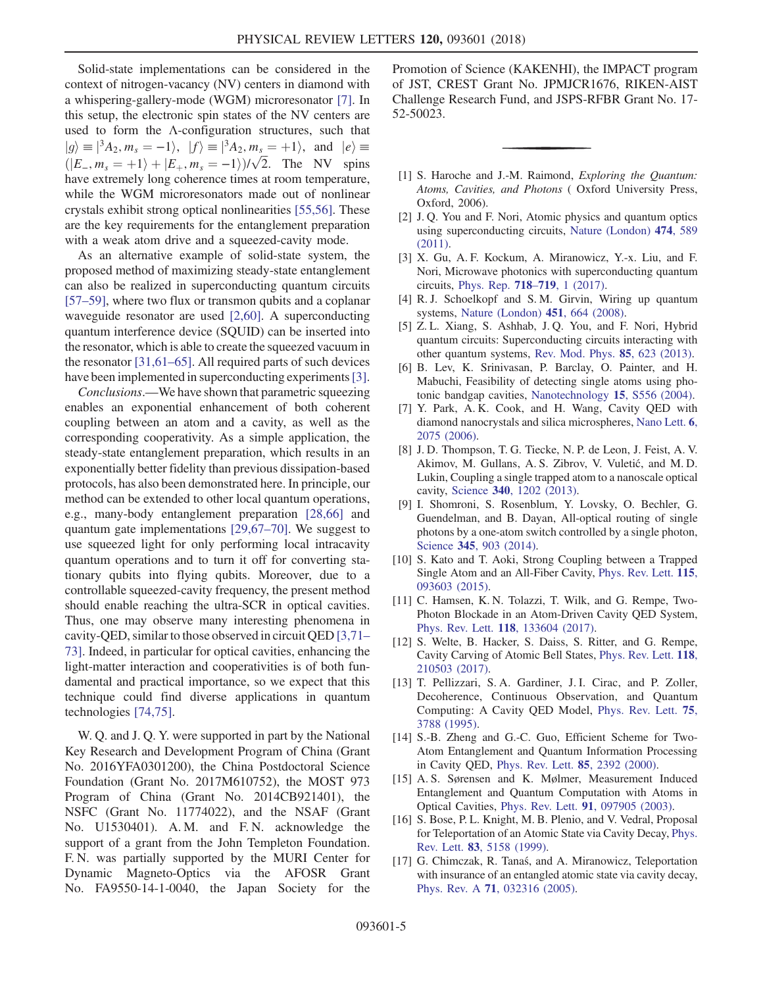Solid-state implementations can be considered in the context of nitrogen-vacancy (NV) centers in diamond with a whispering-gallery-mode (WGM) microresonator [\[7\].](#page-4-4) In this setup, the electronic spin states of the NV centers are used to form the Λ-configuration structures, such that  $|g\rangle \equiv |$  $3A_2, m_s = -1$ ,  $|f\rangle = |3A_2, m_s = +1$ , and  $|e\rangle =$  $(|E_-, m_s = +1\rangle + |E_+, m_s = -1\rangle)/\sqrt{2}$ . The NV spins have extremely long coherence times at room temperature have extremely long coherence times at room temperature, while the WGM microresonators made out of nonlinear crystals exhibit strong optical nonlinearities [\[55,56\].](#page-6-1) These are the key requirements for the entanglement preparation with a weak atom drive and a squeezed-cavity mode.

As an alternative example of solid-state system, the proposed method of maximizing steady-state entanglement can also be realized in superconducting quantum circuits [\[57](#page-6-2)–59], where two flux or transmon qubits and a coplanar waveguide resonator are used [\[2,60\]](#page-4-1). A superconducting quantum interference device (SQUID) can be inserted into the resonator, which is able to create the squeezed vacuum in the resonator [\[31,61](#page-5-1)–65]. All required parts of such devices have been implemented in superconducting experiments [\[3\]](#page-4-2).

Conclusions.—We have shown that parametric squeezing enables an exponential enhancement of both coherent coupling between an atom and a cavity, as well as the corresponding cooperativity. As a simple application, the steady-state entanglement preparation, which results in an exponentially better fidelity than previous dissipation-based protocols, has also been demonstrated here. In principle, our method can be extended to other local quantum operations, e.g., many-body entanglement preparation [\[28,66\]](#page-5-9) and quantum gate implementations [\[29,67](#page-5-10)–70]. We suggest to use squeezed light for only performing local intracavity quantum operations and to turn it off for converting stationary qubits into flying qubits. Moreover, due to a controllable squeezed-cavity frequency, the present method should enable reaching the ultra-SCR in optical cavities. Thus, one may observe many interesting phenomena in cavity-QED, similar to those observed in circuit QED [\[3,71](#page-4-2)– [73\].](#page-4-2) Indeed, in particular for optical cavities, enhancing the light-matter interaction and cooperativities is of both fundamental and practical importance, so we expect that this technique could find diverse applications in quantum technologies [\[74,75\].](#page-6-3)

W. Q. and J. Q. Y. were supported in part by the National Key Research and Development Program of China (Grant No. 2016YFA0301200), the China Postdoctoral Science Foundation (Grant No. 2017M610752), the MOST 973 Program of China (Grant No. 2014CB921401), the NSFC (Grant No. 11774022), and the NSAF (Grant No. U1530401). A. M. and F. N. acknowledge the support of a grant from the John Templeton Foundation. F. N. was partially supported by the MURI Center for Dynamic Magneto-Optics via the AFOSR Grant No. FA9550-14-1-0040, the Japan Society for the Promotion of Science (KAKENHI), the IMPACT program of JST, CREST Grant No. JPMJCR1676, RIKEN-AIST Challenge Research Fund, and JSPS-RFBR Grant No. 17- 52-50023.

- <span id="page-4-0"></span>[1] S. Haroche and J.-M. Raimond, Exploring the Quantum: Atoms, Cavities, and Photons ( Oxford University Press, Oxford, 2006).
- <span id="page-4-1"></span>[2] J. Q. You and F. Nori, Atomic physics and quantum optics using superconducting circuits, [Nature \(London\)](https://doi.org/10.1038/nature10122) 474, 589 [\(2011\).](https://doi.org/10.1038/nature10122)
- <span id="page-4-2"></span>[3] X. Gu, A. F. Kockum, A. Miranowicz, Y.-x. Liu, and F. Nori, Microwave photonics with superconducting quantum circuits, [Phys. Rep.](https://doi.org/10.1016/j.physrep.2017.10.002) 718–719, 1 (2017).
- [4] R. J. Schoelkopf and S. M. Girvin, Wiring up quantum systems, [Nature \(London\)](https://doi.org/10.1038/451664a) 451, 664 (2008).
- [5] Z. L. Xiang, S. Ashhab, J. Q. You, and F. Nori, Hybrid quantum circuits: Superconducting circuits interacting with other quantum systems, [Rev. Mod. Phys.](https://doi.org/10.1103/RevModPhys.85.623) 85, 623 (2013).
- <span id="page-4-3"></span>[6] B. Lev, K. Srinivasan, P. Barclay, O. Painter, and H. Mabuchi, Feasibility of detecting single atoms using photonic bandgap cavities, [Nanotechnology](https://doi.org/10.1088/0957-4484/15/10/010) 15, S556 (2004).
- <span id="page-4-4"></span>[7] Y. Park, A. K. Cook, and H. Wang, Cavity QED with diamond nanocrystals and silica microspheres, [Nano Lett.](https://doi.org/10.1021/nl061342r) 6, [2075 \(2006\)](https://doi.org/10.1021/nl061342r).
- [8] J. D. Thompson, T. G. Tiecke, N. P. de Leon, J. Feist, A. V. Akimov, M. Gullans, A. S. Zibrov, V. Vuletić, and M. D. Lukin, Coupling a single trapped atom to a nanoscale optical cavity, Science 340[, 1202 \(2013\).](https://doi.org/10.1126/science.1237125)
- [9] I. Shomroni, S. Rosenblum, Y. Lovsky, O. Bechler, G. Guendelman, and B. Dayan, All-optical routing of single photons by a one-atom switch controlled by a single photon, Science 345[, 903 \(2014\)](https://doi.org/10.1126/science.1254699).
- [10] S. Kato and T. Aoki, Strong Coupling between a Trapped Single Atom and an All-Fiber Cavity, [Phys. Rev. Lett.](https://doi.org/10.1103/PhysRevLett.115.093603) 115, [093603 \(2015\).](https://doi.org/10.1103/PhysRevLett.115.093603)
- <span id="page-4-8"></span>[11] C. Hamsen, K. N. Tolazzi, T. Wilk, and G. Rempe, Two-Photon Blockade in an Atom-Driven Cavity QED System, Phys. Rev. Lett. 118[, 133604 \(2017\).](https://doi.org/10.1103/PhysRevLett.118.133604)
- [12] S. Welte, B. Hacker, S. Daiss, S. Ritter, and G. Rempe, Cavity Carving of Atomic Bell States, [Phys. Rev. Lett.](https://doi.org/10.1103/PhysRevLett.118.210503) 118, [210503 \(2017\).](https://doi.org/10.1103/PhysRevLett.118.210503)
- <span id="page-4-5"></span>[13] T. Pellizzari, S. A. Gardiner, J. I. Cirac, and P. Zoller, Decoherence, Continuous Observation, and Quantum Computing: A Cavity QED Model, [Phys. Rev. Lett.](https://doi.org/10.1103/PhysRevLett.75.3788) 75, [3788 \(1995\).](https://doi.org/10.1103/PhysRevLett.75.3788)
- [14] S.-B. Zheng and G.-C. Guo, Efficient Scheme for Two-Atom Entanglement and Quantum Information Processing in Cavity QED, [Phys. Rev. Lett.](https://doi.org/10.1103/PhysRevLett.85.2392) 85, 2392 (2000).
- <span id="page-4-6"></span>[15] A. S. Sørensen and K. Mølmer, Measurement Induced Entanglement and Quantum Computation with Atoms in Optical Cavities, Phys. Rev. Lett. 91[, 097905 \(2003\)](https://doi.org/10.1103/PhysRevLett.91.097905).
- <span id="page-4-7"></span>[16] S. Bose, P. L. Knight, M. B. Plenio, and V. Vedral, Proposal for Teleportation of an Atomic State via Cavity Decay, [Phys.](https://doi.org/10.1103/PhysRevLett.83.5158) Rev. Lett. 83[, 5158 \(1999\)](https://doi.org/10.1103/PhysRevLett.83.5158).
- [17] G. Chimczak, R. Tanaś, and A. Miranowicz, Teleportation with insurance of an entangled atomic state via cavity decay, Phys. Rev. A 71[, 032316 \(2005\)](https://doi.org/10.1103/PhysRevA.71.032316).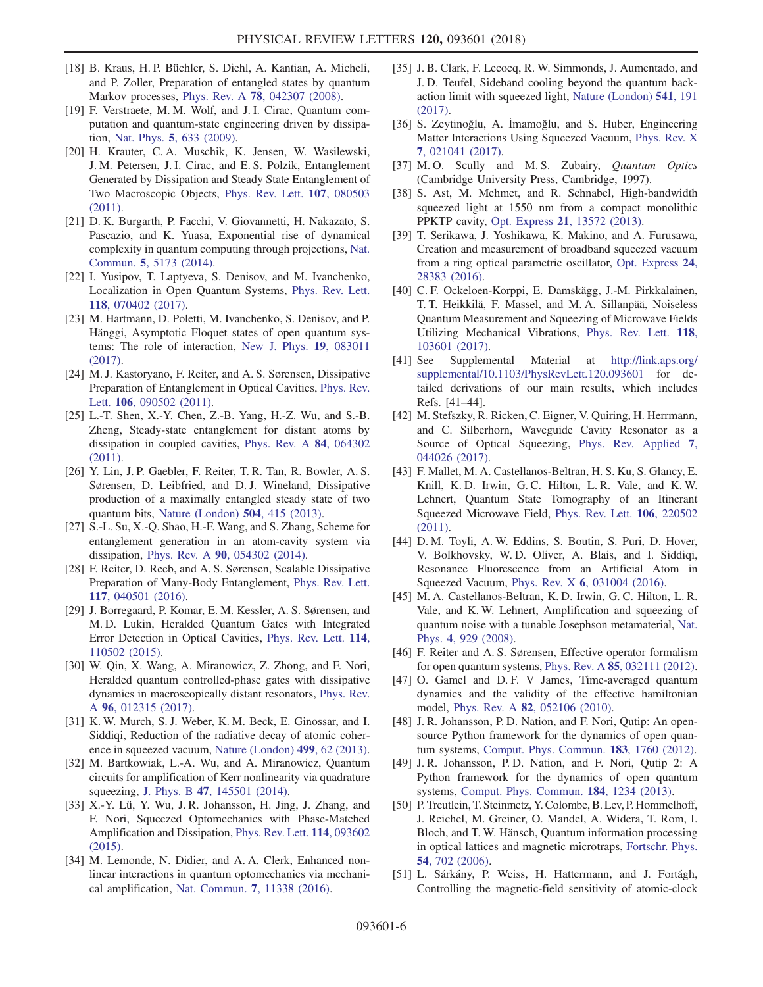- [18] B. Kraus, H. P. Büchler, S. Diehl, A. Kantian, A. Micheli, and P. Zoller, Preparation of entangled states by quantum Markov processes, Phys. Rev. A 78[, 042307 \(2008\)](https://doi.org/10.1103/PhysRevA.78.042307).
- [19] F. Verstraete, M. M. Wolf, and J. I. Cirac, Quantum computation and quantum-state engineering driven by dissipation, Nat. Phys. 5[, 633 \(2009\).](https://doi.org/10.1038/nphys1342)
- [20] H. Krauter, C. A. Muschik, K. Jensen, W. Wasilewski, J. M. Petersen, J. I. Cirac, and E. S. Polzik, Entanglement Generated by Dissipation and Steady State Entanglement of Two Macroscopic Objects, [Phys. Rev. Lett.](https://doi.org/10.1103/PhysRevLett.107.080503) 107, 080503 [\(2011\).](https://doi.org/10.1103/PhysRevLett.107.080503)
- [21] D. K. Burgarth, P. Facchi, V. Giovannetti, H. Nakazato, S. Pascazio, and K. Yuasa, Exponential rise of dynamical complexity in quantum computing through projections, [Nat.](https://doi.org/10.1038/ncomms6173) Commun. 5[, 5173 \(2014\).](https://doi.org/10.1038/ncomms6173)
- [22] I. Yusipov, T. Laptyeva, S. Denisov, and M. Ivanchenko, Localization in Open Quantum Systems, [Phys. Rev. Lett.](https://doi.org/10.1103/PhysRevLett.118.070402) 118[, 070402 \(2017\).](https://doi.org/10.1103/PhysRevLett.118.070402)
- [23] M. Hartmann, D. Poletti, M. Ivanchenko, S. Denisov, and P. Hänggi, Asymptotic Floquet states of open quantum systems: The role of interaction, [New J. Phys.](https://doi.org/10.1088/1367-2630/aa7ceb) 19, 083011 [\(2017\).](https://doi.org/10.1088/1367-2630/aa7ceb)
- <span id="page-5-0"></span>[24] M. J. Kastoryano, F. Reiter, and A. S. Sørensen, Dissipative Preparation of Entanglement in Optical Cavities, [Phys. Rev.](https://doi.org/10.1103/PhysRevLett.106.090502) Lett. 106[, 090502 \(2011\)](https://doi.org/10.1103/PhysRevLett.106.090502).
- [25] L.-T. Shen, X.-Y. Chen, Z.-B. Yang, H.-Z. Wu, and S.-B. Zheng, Steady-state entanglement for distant atoms by dissipation in coupled cavities, [Phys. Rev. A](https://doi.org/10.1103/PhysRevA.84.064302) 84, 064302 [\(2011\).](https://doi.org/10.1103/PhysRevA.84.064302)
- [26] Y. Lin, J. P. Gaebler, F. Reiter, T. R. Tan, R. Bowler, A. S. Sørensen, D. Leibfried, and D. J. Wineland, Dissipative production of a maximally entangled steady state of two quantum bits, [Nature \(London\)](https://doi.org/10.1038/nature12801) 504, 415 (2013).
- [27] S.-L. Su, X.-Q. Shao, H.-F. Wang, and S. Zhang, Scheme for entanglement generation in an atom-cavity system via dissipation, Phys. Rev. A 90[, 054302 \(2014\).](https://doi.org/10.1103/PhysRevA.90.054302)
- <span id="page-5-9"></span>[28] F. Reiter, D. Reeb, and A. S. Sørensen, Scalable Dissipative Preparation of Many-Body Entanglement, [Phys. Rev. Lett.](https://doi.org/10.1103/PhysRevLett.117.040501) 117[, 040501 \(2016\).](https://doi.org/10.1103/PhysRevLett.117.040501)
- <span id="page-5-10"></span>[29] J. Borregaard, P. Komar, E. M. Kessler, A. S. Sørensen, and M. D. Lukin, Heralded Quantum Gates with Integrated Error Detection in Optical Cavities, [Phys. Rev. Lett.](https://doi.org/10.1103/PhysRevLett.114.110502) 114, [110502 \(2015\).](https://doi.org/10.1103/PhysRevLett.114.110502)
- [30] W. Qin, X. Wang, A. Miranowicz, Z. Zhong, and F. Nori, Heralded quantum controlled-phase gates with dissipative dynamics in macroscopically distant resonators, [Phys. Rev.](https://doi.org/10.1103/PhysRevA.96.012315) A 96[, 012315 \(2017\)](https://doi.org/10.1103/PhysRevA.96.012315).
- <span id="page-5-1"></span>[31] K. W. Murch, S. J. Weber, K. M. Beck, E. Ginossar, and I. Siddiqi, Reduction of the radiative decay of atomic coherence in squeezed vacuum, [Nature \(London\)](https://doi.org/10.1038/nature12264) 499, 62 (2013).
- [32] M. Bartkowiak, L.-A. Wu, and A. Miranowicz, Ouantum circuits for amplification of Kerr nonlinearity via quadrature squeezing, J. Phys. B 47[, 145501 \(2014\).](https://doi.org/10.1088/0953-4075/47/14/145501)
- [33] X.-Y. Lü, Y. Wu, J. R. Johansson, H. Jing, J. Zhang, and F. Nori, Squeezed Optomechanics with Phase-Matched Amplification and Dissipation, [Phys. Rev. Lett.](https://doi.org/10.1103/PhysRevLett.114.093602) 114, 093602 [\(2015\).](https://doi.org/10.1103/PhysRevLett.114.093602)
- [34] M. Lemonde, N. Didier, and A. A. Clerk, Enhanced nonlinear interactions in quantum optomechanics via mechanical amplification, Nat. Commun. 7[, 11338 \(2016\).](https://doi.org/10.1038/ncomms11338)
- [35] J. B. Clark, F. Lecocq, R. W. Simmonds, J. Aumentado, and J. D. Teufel, Sideband cooling beyond the quantum backaction limit with squeezed light, [Nature \(London\)](https://doi.org/10.1038/nature20604) 541, 191 [\(2017\).](https://doi.org/10.1038/nature20604)
- [36] S. Zeytinoğlu, A. İmamoğlu, and S. Huber, Engineering Matter Interactions Using Squeezed Vacuum, [Phys. Rev. X](https://doi.org/10.1103/PhysRevX.7.021041) 7[, 021041 \(2017\)](https://doi.org/10.1103/PhysRevX.7.021041).
- <span id="page-5-2"></span>[37] M.O. Scully and M.S. Zubairy, *Quantum Optics* (Cambridge University Press, Cambridge, 1997).
- <span id="page-5-3"></span>[38] S. Ast, M. Mehmet, and R. Schnabel, High-bandwidth squeezed light at 1550 nm from a compact monolithic PPKTP cavity, Opt. Express 21[, 13572 \(2013\).](https://doi.org/10.1364/OE.21.013572)
- [39] T. Serikawa, J. Yoshikawa, K. Makino, and A. Furusawa, Creation and measurement of broadband squeezed vacuum from a ring optical parametric oscillator, [Opt. Express](https://doi.org/10.1364/OE.24.028383) 24, [28383 \(2016\).](https://doi.org/10.1364/OE.24.028383)
- [40] C. F. Ockeloen-Korppi, E. Damskägg, J.-M. Pirkkalainen, T. T. Heikkilä, F. Massel, and M. A. Sillanpää, Noiseless Quantum Measurement and Squeezing of Microwave Fields Utilizing Mechanical Vibrations, [Phys. Rev. Lett.](https://doi.org/10.1103/PhysRevLett.118.103601) 118, [103601 \(2017\).](https://doi.org/10.1103/PhysRevLett.118.103601)
- <span id="page-5-4"></span>[41] See Supplemental Material at [http://link.aps.org/](http://link.aps.org/supplemental/10.1103/PhysRevLett.120.093601) [supplemental/10.1103/PhysRevLett.120.093601](http://link.aps.org/supplemental/10.1103/PhysRevLett.120.093601) for detailed derivations of our main results, which includes Refs. [41–44].
- [42] M. Stefszky, R. Ricken, C. Eigner, V. Quiring, H. Herrmann, and C. Silberhorn, Waveguide Cavity Resonator as a Source of Optical Squeezing, [Phys. Rev. Applied](https://doi.org/10.1103/PhysRevApplied.7.044026) 7, [044026 \(2017\).](https://doi.org/10.1103/PhysRevApplied.7.044026)
- [43] F. Mallet, M. A. Castellanos-Beltran, H. S. Ku, S. Glancy, E. Knill, K. D. Irwin, G. C. Hilton, L. R. Vale, and K. W. Lehnert, Quantum State Tomography of an Itinerant Squeezed Microwave Field, [Phys. Rev. Lett.](https://doi.org/10.1103/PhysRevLett.106.220502) 106, 220502 [\(2011\).](https://doi.org/10.1103/PhysRevLett.106.220502)
- [44] D. M. Toyli, A. W. Eddins, S. Boutin, S. Puri, D. Hover, V. Bolkhovsky, W. D. Oliver, A. Blais, and I. Siddiqi, Resonance Fluorescence from an Artificial Atom in Squeezed Vacuum, Phys. Rev. X 6[, 031004 \(2016\).](https://doi.org/10.1103/PhysRevX.6.031004)
- [45] M. A. Castellanos-Beltran, K. D. Irwin, G. C. Hilton, L. R. Vale, and K. W. Lehnert, Amplification and squeezing of quantum noise with a tunable Josephson metamaterial, [Nat.](https://doi.org/10.1038/nphys1090) Phys. 4[, 929 \(2008\)](https://doi.org/10.1038/nphys1090).
- <span id="page-5-5"></span>[46] F. Reiter and A. S. Sørensen, Effective operator formalism for open quantum systems, Phys. Rev. A 85[, 032111 \(2012\).](https://doi.org/10.1103/PhysRevA.85.032111)
- <span id="page-5-6"></span>[47] O. Gamel and D.F. V James, Time-averaged quantum dynamics and the validity of the effective hamiltonian model, Phys. Rev. A 82[, 052106 \(2010\).](https://doi.org/10.1103/PhysRevA.82.052106)
- <span id="page-5-7"></span>[48] J. R. Johansson, P. D. Nation, and F. Nori, Qutip: An opensource Python framework for the dynamics of open quantum systems, [Comput. Phys. Commun.](https://doi.org/10.1016/j.cpc.2012.02.021) 183, 1760 (2012).
- [49] J. R. Johansson, P. D. Nation, and F. Nori, Qutip 2: A Python framework for the dynamics of open quantum systems, [Comput. Phys. Commun.](https://doi.org/10.1016/j.cpc.2012.11.019) 184, 1234 (2013).
- <span id="page-5-8"></span>[50] P. Treutlein, T. Steinmetz, Y. Colombe, B. Lev, P. Hommelhoff, J. Reichel, M. Greiner, O. Mandel, A. Widera, T. Rom, I. Bloch, and T. W. Hänsch, Quantum information processing in optical lattices and magnetic microtraps, [Fortschr. Phys.](https://doi.org/10.1002/prop.200610325) 54[, 702 \(2006\)](https://doi.org/10.1002/prop.200610325).
- [51] L. Sárkány, P. Weiss, H. Hattermann, and J. Fortágh, Controlling the magnetic-field sensitivity of atomic-clock